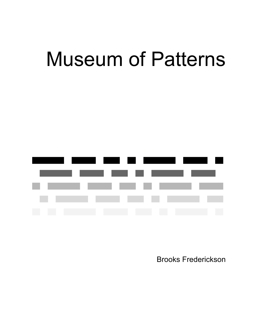# Museum of Patterns



Brooks Frederickson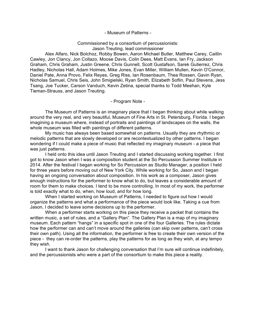#### - Museum of Patterns -

## Commissioned by a consortium of percussionists:

Jason Treuting, lead commissioner

Alex Alfaro, Nick Bolchoz, Robby Bowen, Aaron Michael Butler, Matthew Carey, Caitlin Cawley, Jon Clancy, Jon Collazo, Moose Davis, Colin Dees, Matt Evans, Ian Fry, Jackson Graham, Chris Graham, Justin Greene, Chris Gunnell, Scott Gustafson, Sarek Gutierrez, Chris Hadley, Nicholas Hall, Adam Holmes, Mike Jones, Evan Miller, William Mullen, Kevin O'Connor, Daniel Pate, Anna Provo, Felix Reyes, Greg Riss, Ian Rosenbaum, Thea Rossen, Gavin Ryan, Nicholas Samuel, Chris Seis, John Smigielski, Ryan Smith, Elizabeth Soflin, Paul Stevens, Jess Tsang, Joe Tucker, Carson Vanduch, Kevin Zetina, special thanks to Todd Meehan, Kyle Tieman-Strauss, and Jason Treuting.

- Program Note -

The Museum of Patterns is an imaginary place that I began thinking about while walking around the very real, and very beautiful, Museum of Fine Arts in St. Petersburg, Florida. I began imagining a museum where, instead of portraits and paintings of landscapes on the walls, the whole museum was filled with paintings of different patterns.

My music has always been based somewhat on patterns. Usually they are rhythmic or melodic patterns that are slowly developed or are recontextualized by other patterns. I began wondering if I could make a piece of music that reflected my imaginary museum - a piece that was just patterns.

I held onto this idea until Jason Treuting and I started discussing working together. I first got to know Jason when I was a composition student at the So Percussion Summer Institute in 2014. After the festival I began working for So Percussion as Studio Manager, a position I held for three years before moving out of New York City. While working for So, Jason and I began having an ongoing conversation about composition. In his work as a composer, Jason gives enough instructions for the performer to know what to do, but leaves a considerable amount of room for them to make choices. I tend to be more controlling. In most of my work, the performer is told exactly what to do, when, how loud, and for how long.

When I started working on Museum of Patterns, I needed to figure out how I would organize the patterns and what a performance of the piece would look like. Taking a cue from Jason, I decided to leave some decisions up to the performer.

When a performer starts working on this piece they receive a packet that contains the written music, a set of rules, and a "Gallery Plan". The Gallery Plan is a map of my imaginary museum. Each pattern "hangs" in a specific spot in one of the four Galleries. The rules dictate how the performer can and can't move around the galleries (can skip over patterns, can't cross their own path). Using all the information, the performer is free to create their own version of the piece - they can re-order the patterns, play the patterns for as long as they wish, at any tempo they wish.

I want to thank Jason for challenging conversation that I'm sure will continue indefinitely, and the percussionists who were a part of the consortium to make this piece a reality.